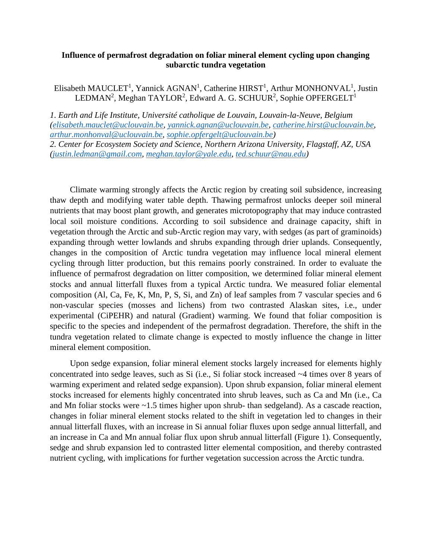## **Influence of permafrost degradation on foliar mineral element cycling upon changing subarctic tundra vegetation**

Elisabeth MAUCLET<sup>1</sup>, Yannick AGNAN<sup>1</sup>, Catherine HIRST<sup>1</sup>, Arthur MONHONVAL<sup>1</sup>, Justin LEDMAN<sup>2</sup>, Meghan TAYLOR<sup>2</sup>, Edward A. G. SCHUUR<sup>2</sup>, Sophie OPFERGELT<sup>1</sup>

*1. Earth and Life Institute, Université catholique de Louvain, Louvain-la-Neuve, Belgium [\(elisabeth.mauclet@uclouvain.be,](mailto:elisabeth.mauclet@uclouvain.be) [yannick.agnan@uclouvain.be,](mailto:yannick.agnan@uclouvain.be) [catherine.hirst@uclouvain.be,](mailto:catherine.hirst@uclouvain.be) [arthur.monhonval@uclouvain.be,](mailto:arthur.monhonval@uclouvain.be) [sophie.opfergelt@uclouvain.be\)](mailto:sophie.opfergelt@uclouvain.be)*

*2. Center for Ecosystem Society and Science, Northern Arizona University, Flagstaff, AZ, USA [\(justin.ledman@gmail.com,](mailto:justin.ledman@gmail.com) [meghan.taylor@yale.edu,](mailto:meghan.taylor@yale.edu) [ted.schuur@nau.edu\)](mailto:ted.schuur@nau.edu)*

Climate warming strongly affects the Arctic region by creating soil subsidence, increasing thaw depth and modifying water table depth. Thawing permafrost unlocks deeper soil mineral nutrients that may boost plant growth, and generates microtopography that may induce contrasted local soil moisture conditions. According to soil subsidence and drainage capacity, shift in vegetation through the Arctic and sub-Arctic region may vary, with sedges (as part of graminoids) expanding through wetter lowlands and shrubs expanding through drier uplands. Consequently, changes in the composition of Arctic tundra vegetation may influence local mineral element cycling through litter production, but this remains poorly constrained. In order to evaluate the influence of permafrost degradation on litter composition, we determined foliar mineral element stocks and annual litterfall fluxes from a typical Arctic tundra. We measured foliar elemental composition (Al, Ca, Fe, K, Mn, P, S, Si, and Zn) of leaf samples from 7 vascular species and 6 non-vascular species (mosses and lichens) from two contrasted Alaskan sites, i.e., under experimental (CiPEHR) and natural (Gradient) warming. We found that foliar composition is specific to the species and independent of the permafrost degradation. Therefore, the shift in the tundra vegetation related to climate change is expected to mostly influence the change in litter mineral element composition.

Upon sedge expansion, foliar mineral element stocks largely increased for elements highly concentrated into sedge leaves, such as Si (i.e., Si foliar stock increased ~4 times over 8 years of warming experiment and related sedge expansion). Upon shrub expansion, foliar mineral element stocks increased for elements highly concentrated into shrub leaves, such as Ca and Mn (i.e., Ca and Mn foliar stocks were ~1.5 times higher upon shrub- than sedgeland). As a cascade reaction, changes in foliar mineral element stocks related to the shift in vegetation led to changes in their annual litterfall fluxes, with an increase in Si annual foliar fluxes upon sedge annual litterfall, and an increase in Ca and Mn annual foliar flux upon shrub annual litterfall (Figure 1). Consequently, sedge and shrub expansion led to contrasted litter elemental composition, and thereby contrasted nutrient cycling, with implications for further vegetation succession across the Arctic tundra.